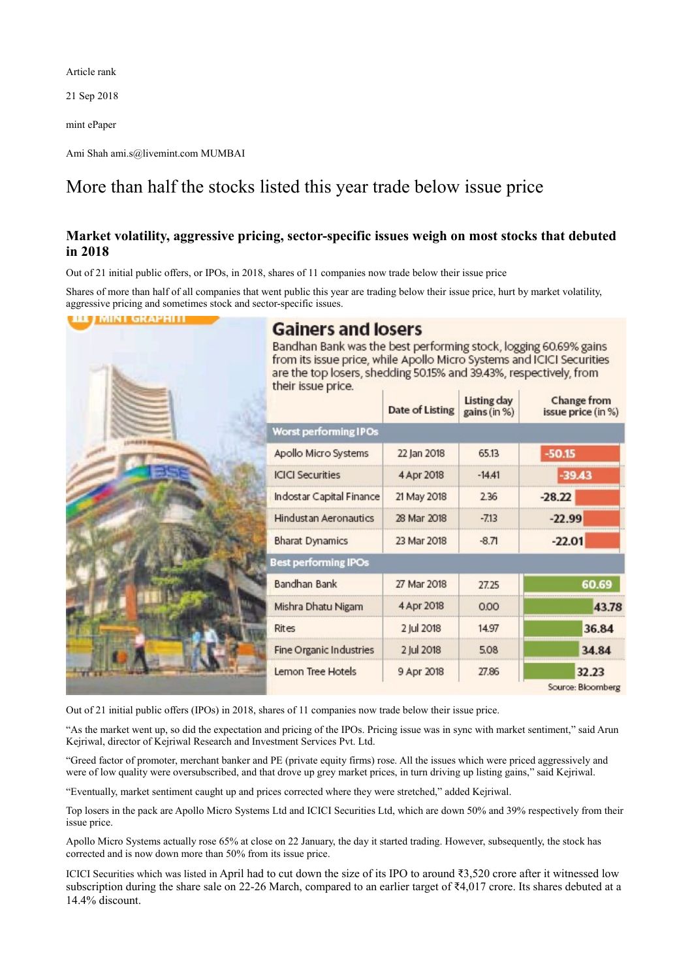Article rank

21 Sep 2018

mint ePaper

Ami Shah ami.s@livemint.com MUMBAI

## More than half the stocks listed this year trade below issue price

## **Market volatility, aggressive pricing, sector-specific issues weigh on most stocks that debuted in 2018**

Out of 21 initial public offers, or IPOs, in 2018, shares of 11 companies now trade below their issue price

Shares of more than half of all companies that went public this year are trading below their issue price, hurt by market volatility, aggressive pricing and sometimes stock and sector-specific issues.

**BLE / MINT GRAPHITI** 

## Bandhan Bank was the best performing stock, logging 60.69% gains from its issue price, while Apollo Micro Systems and ICICI Securities are the top losers, shedding 50.15% and 39.43%, respectively, from their issue price. **Listing day** Change from **Date of Listing** gains (in %) issue price (in %) Worst performing IPOs Apollo Micro Systems 22 Jan 2018 65.13  $-50.15$ **ICICI Securities** 4 Apr 2018  $-14.41$  $-39.43$ Indostar Capital Finance 21 May 2018 2.36  $-28.22$ **Hindustan Aeronautics** 28 Mar 2018  $-713$  $-22.99$ **Bharat Dynamics** 23 Mar 2018  $-8.71$  $-22.01$ est performing IPOs **Bandhan Bank** 27 Mar 2018 27.25 60.69 4 Apr 2018 Mishra Dhatu Nigam  $000$ 43.78 **Rites** 2 Jul 2018 14.97 36.84 **Fine Organic Industries** 2 Iul 2018 34.84 5.08 32.23 Lemon Tree Hotels 9 Apr 2018 27.86 Source: Bloomberg

Out of 21 initial public offers (IPOs) in 2018, shares of 11 companies now trade below their issue price.

"As the market went up, so did the expectation and pricing of the IPOs. Pricing issue was in sync with market sentiment," said Arun Kejriwal, director of Kejriwal Research and Investment Services Pvt. Ltd.

"Greed factor of promoter, merchant banker and PE (private equity firms) rose. All the issues which were priced aggressively and were of low quality were oversubscribed, and that drove up grey market prices, in turn driving up listing gains," said Kejriwal.

"Eventually, market sentiment caught up and prices corrected where they were stretched," added Kejriwal.

Top losers in the pack are Apollo Micro Systems Ltd and ICICI Securities Ltd, which are down 50% and 39% respectively from their issue price.

Apollo Micro Systems actually rose 65% at close on 22 January, the day it started trading. However, subsequently, the stock has corrected and is now down more than 50% from its issue price.

ICICI Securities which was listed in April had to cut down the size of its IPO to around ₹3,520 crore after it witnessed low subscription during the share sale on 22-26 March, compared to an earlier target of ₹4,017 crore. Its shares debuted at a 14.4% discount.

## **Gainers and losers**